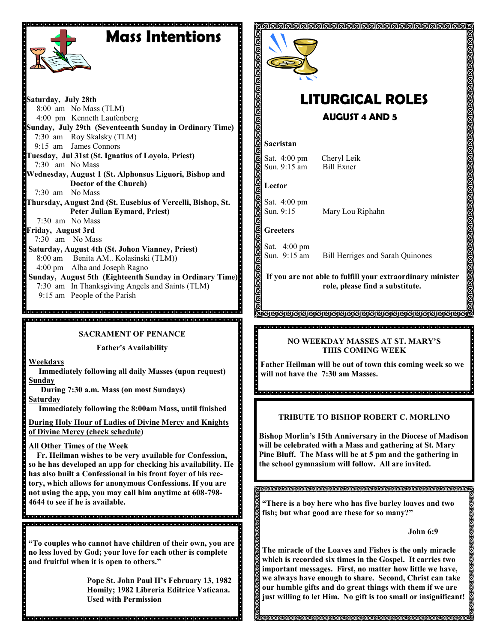# **Mass Intentions**



**Saturday, July 28th** 8:00 am No Mass (TLM) 4:00 pm Kenneth Laufenberg **Sunday, July 29th (Seventeenth Sunday in Ordinary Time)** 7:30 am Roy Skalsky (TLM) 9:15 am James Connors **Tuesday, Jul 31st (St. Ignatius of Loyola, Priest)** 7:30 am No Mass **Wednesday, August 1 (St. Alphonsus Liguori, Bishop and Doctor of the Church)** 7:30 am No Mass **Thursday, August 2nd (St. Eusebius of Vercelli, Bishop, St. Peter Julian Eymard, Priest)** 7:30 am No Mass **Friday, August 3rd** 7:30 am No Mass **Saturday, August 4th (St. Johon Vianney, Priest)** 8:00 am Benita AM.. Kolasinski (TLM)) 4:00 pm Alba and Joseph Ragno **Sunday, August 5th (Eighteenth Sunday in Ordinary Time)** 7:30 am In Thanksgiving Angels and Saints (TLM)

9:15 am People of the Parish

**SACRAMENT OF PENANCE**

**Father's Availability**

**Weekdays**

 **Immediately following all daily Masses (upon request) Sunday** 

 **During 7:30 a.m. Mass (on most Sundays)**

**Saturday**

 **Immediately following the 8:00am Mass, until finished** 

**During Holy Hour of Ladies of Divine Mercy and Knights of Divine Mercy (check schedule)**

**All Other Times of the Week** 

 **Fr. Heilman wishes to be very available for Confession, so he has developed an app for checking his availability. He has also built a Confessional in his front foyer of his rectory, which allows for anonymous Confessions. If you are not using the app, you may call him anytime at 608-798- 4644 to see if he is available.** 

**"To couples who cannot have children of their own, you are no less loved by God; your love for each other is complete and fruitful when it is open to others."**

> **Pope St. John Paul II's February 13, 1982 Homily; 1982 Libreria Editrice Vaticana. Used with Permission**



## **LITURGICAL ROLES AUGUST 4 AND 5**

#### **Sacristan**

Sat. 4:00 pm Cheryl Leik Sun. 9:15 am Bill Exner

**Lector**

Sat. 4:00 pm Sun. 9:15 Mary Lou Riphahn

**Greeters**

Sat. 4:00 pm<br>Sun. 9:15 am

Bill Herriges and Sarah Quinones

**If you are not able to fulfill your extraordinary minister role, please find a substitute.** 

#### <u>AMMAMMAMMAMMAMMAMMAMMAMMA</u>

#### **NO WEEKDAY MASSES AT ST. MARY'S THIS COMING WEEK**

**Father Heilman will be out of town this coming week so we will not have the 7:30 am Masses.** 

### **TRIBUTE TO BISHOP ROBERT C. MORLINO**

**Bishop Morlin's 15th Anniversary in the Diocese of Madison will be celebrated with a Mass and gathering at St. Mary Pine Bluff. The Mass will be at 5 pm and the gathering in the school gymnasium will follow. All are invited.** 

**"There is a boy here who has five barley loaves and two fish; but what good are these for so many?"**

**John 6:9**

**The miracle of the Loaves and Fishes is the only miracle which is recorded six times in the Gospel. It carries two important messages. First, no matter how little we have, we always have enough to share. Second, Christ can take our humble gifts and do great things with them if we are just willing to let Him. No gift is too small or insignificant!**